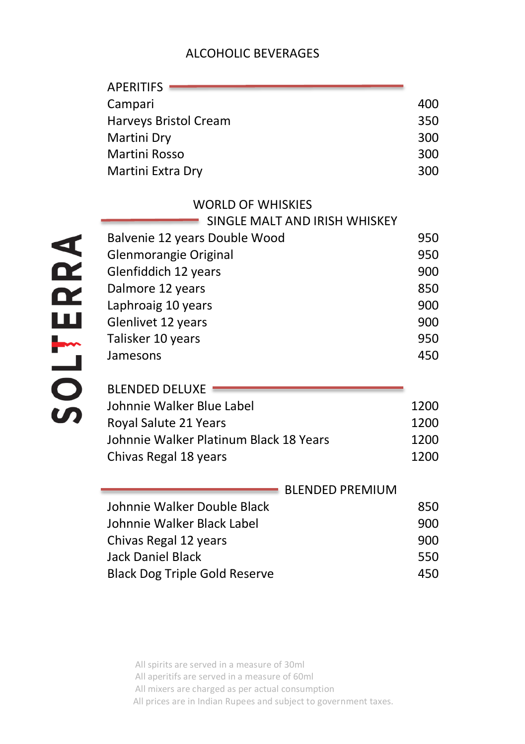# ALCOHOLIC BEVERAGES

| <b>APERITIFS</b>                       |      |
|----------------------------------------|------|
| Campari                                | 400  |
| Harveys Bristol Cream                  | 350  |
| Martini Dry                            | 300  |
| Martini Rosso                          | 300  |
| Martini Extra Dry                      | 300  |
| <b>WORLD OF WHISKIES</b>               |      |
| SINGLE MALT AND IRISH WHISKEY          |      |
| Balvenie 12 years Double Wood          | 950  |
| Glenmorangie Original                  | 950  |
| Glenfiddich 12 years                   | 900  |
| Dalmore 12 years                       | 850  |
| Laphroaig 10 years                     | 900  |
| Glenlivet 12 years                     | 900  |
| Talisker 10 years                      | 950  |
| Jamesons                               | 450  |
| <b>BLENDED DELUXE</b>                  |      |
| Johnnie Walker Blue Label              | 1200 |
| Royal Salute 21 Years                  | 1200 |
| Johnnie Walker Platinum Black 18 Years | 1200 |
| Chivas Regal 18 years                  | 1200 |
| <b>BLENDED PREMIUM</b>                 |      |
| Johnnie Walker Double Black            | 850  |
| Johnnie Walker Black Label             | 900  |
| Chivas Regal 12 years                  | 900  |
| <b>Jack Daniel Black</b>               | 550  |
| <b>Black Dog Triple Gold Reserve</b>   | 450  |
|                                        |      |

SOLTERRA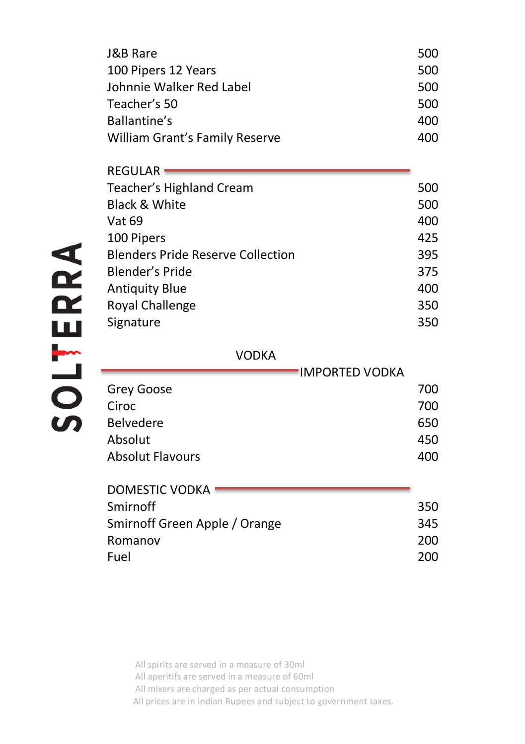| J&B Rare                       | 500  |
|--------------------------------|------|
| 100 Pipers 12 Years            | 500  |
| Johnnie Walker Red Label       | 500  |
| Teacher's 50                   | 500  |
| <b>Ballantine's</b>            | 400  |
| William Grant's Family Reserve | 400. |

| 500 |
|-----|
| 500 |
| 400 |
| 425 |
| 395 |
| 375 |
| 400 |
| 350 |
| 350 |
|     |

#### VODKA

|                         | 'IMPORTED VODKA |
|-------------------------|-----------------|
| Grey Goose              | 700             |
| Ciroc                   | 700             |
| <b>Belvedere</b>        | 650             |
| Absolut                 | 450             |
| <b>Absolut Flavours</b> | 400             |

| DOMESTIC VODKA                |     |
|-------------------------------|-----|
| Smirnoff                      | 350 |
| Smirnoff Green Apple / Orange | 345 |
| Romanov                       | 200 |
| Fuel                          | 200 |
|                               |     |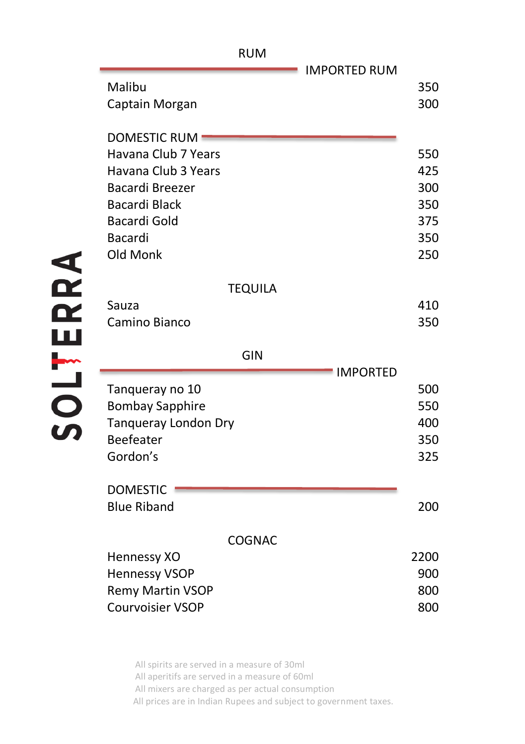| <b>IMPORTED RUM</b><br>Malibu               | 350        |
|---------------------------------------------|------------|
| Captain Morgan                              | 300        |
|                                             |            |
| <b>DOMESTIC RUM</b>                         |            |
| Havana Club 7 Years                         | 550        |
| Havana Club 3 Years                         | 425        |
| <b>Bacardi Breezer</b>                      | 300        |
| <b>Bacardi Black</b>                        | 350        |
| Bacardi Gold                                | 375        |
| <b>Bacardi</b>                              | 350        |
| Old Monk                                    | 250        |
| <b>TEQUILA</b>                              |            |
| Sauza                                       | 410        |
| Camino Bianco                               | 350        |
|                                             |            |
| GIN                                         |            |
| <b>IMPORTED</b>                             |            |
| Tanqueray no 10                             | 500        |
| <b>Bombay Sapphire</b>                      | 550        |
|                                             | 400        |
| Tanqueray London Dry                        |            |
| <b>Beefeater</b>                            | 350        |
| Gordon's                                    | 325        |
|                                             |            |
| <b>DOMESTIC</b><br><b>Blue Riband</b>       | 200        |
|                                             |            |
| <b>COGNAC</b>                               |            |
| Hennessy XO                                 | 2200       |
| <b>Hennessy VSOP</b>                        | 900        |
| <b>Remy Martin VSOP</b><br>Courvoisier VSOP | 800<br>800 |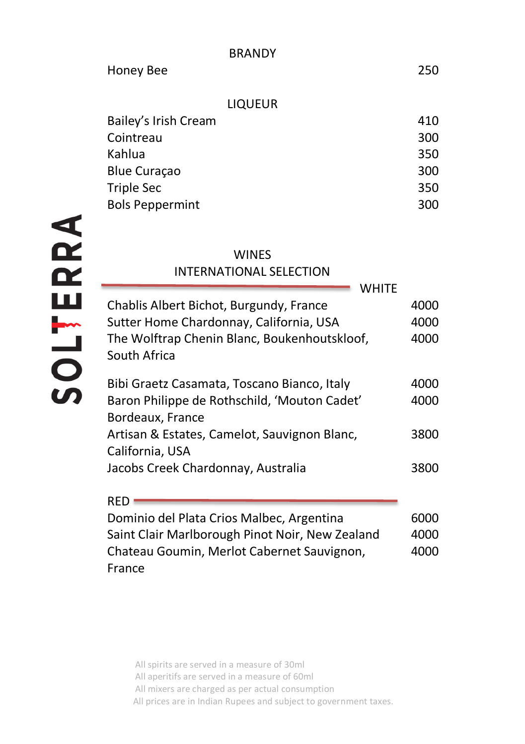# LIQUEUR

| Bailey's Irish Cream   | 410 |
|------------------------|-----|
| Cointreau              | 300 |
| Kahlua                 | 350 |
| <b>Blue Curaçao</b>    | 300 |
| <b>Triple Sec</b>      | 350 |
| <b>Bols Peppermint</b> | 300 |
|                        |     |

### **WINES**

# INTERNATIONAL SELECTION

| Chablis Albert Bichot, Burgundy, France      | 4000 |
|----------------------------------------------|------|
| Sutter Home Chardonnay, California, USA      | 4000 |
| The Wolftrap Chenin Blanc, Boukenhoutskloof, | 4000 |
| South Africa                                 |      |
| Bibi Graetz Casamata, Toscano Bianco, Italy  | 4000 |
| Baron Philippe de Rothschild, 'Mouton Cadet' | 4000 |
| Bordeaux, France                             |      |
| Artisan & Estates, Camelot, Sauvignon Blanc, | 3800 |
| California, USA                              |      |
| Jacobs Creek Chardonnay, Australia           | 3800 |
|                                              |      |
| RFD                                          |      |

Dominio del Plata Crios Malbec, Argentina 6000 Saint Clair Marlborough Pinot Noir, New Zealand 4000 Chateau Goumin, Merlot Cabernet Sauvignon, France 4000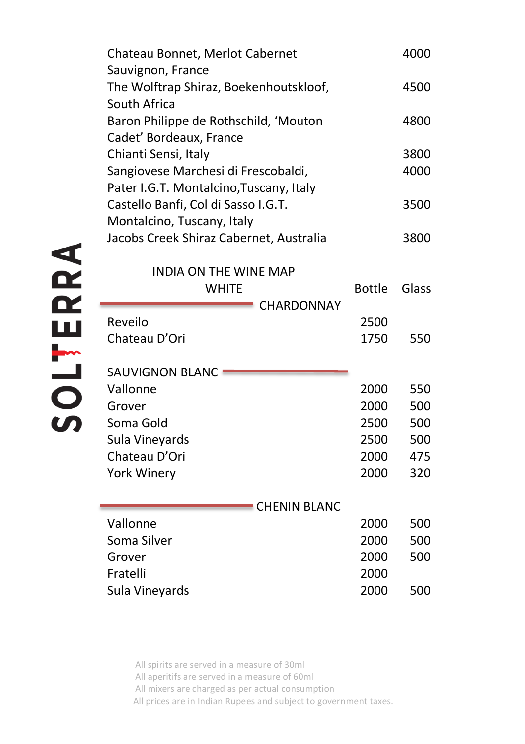| Chateau Bonnet, Merlot Cabernet<br>Sauvignon, France             |               | 4000  |
|------------------------------------------------------------------|---------------|-------|
| The Wolftrap Shiraz, Boekenhoutskloof,<br>South Africa           |               | 4500  |
| Baron Philippe de Rothschild, 'Mouton<br>Cadet' Bordeaux, France |               | 4800  |
| Chianti Sensi, Italy                                             |               | 3800  |
| Sangiovese Marchesi di Frescobaldi,                              |               | 4000  |
| Pater I.G.T. Montalcino, Tuscany, Italy                          |               |       |
| Castello Banfi, Col di Sasso I.G.T.                              |               | 3500  |
| Montalcino, Tuscany, Italy                                       |               |       |
| Jacobs Creek Shiraz Cabernet, Australia                          |               | 3800  |
|                                                                  |               |       |
| <b>INDIA ON THE WINE MAP</b>                                     |               |       |
| <b>WHITE</b>                                                     | <b>Bottle</b> | Glass |
| CHARDONNAY<br>Reveilo                                            | 2500          |       |
| Chateau D'Ori                                                    | 1750          | 550   |
|                                                                  |               |       |
| <b>SAUVIGNON BLANC</b>                                           |               |       |
| Vallonne                                                         | 2000          | 550   |
| Grover                                                           | 2000          | 500   |
| Soma Gold                                                        | 2500          | 500   |
| Sula Vineyards                                                   | 2500          | 500   |
| Chateau D'Ori                                                    | 2000          | 475   |
| York Winery                                                      | 2000          | 320   |
|                                                                  |               |       |
| <b>CHENIN BLANC</b>                                              |               |       |
| Vallonne                                                         | 2000          | 500   |
| Soma Silver                                                      | 2000          | 500   |
| Grover                                                           | 2000          | 500   |
| Fratelli                                                         | 2000          |       |
| Sula Vineyards                                                   | 2000          | 500   |

All spirits are served in a measure of 30ml All aperitifs are served in a measure of 60ml All mixers are charged as per actual consumption

All prices are in Indian Rupees and subject to government taxes.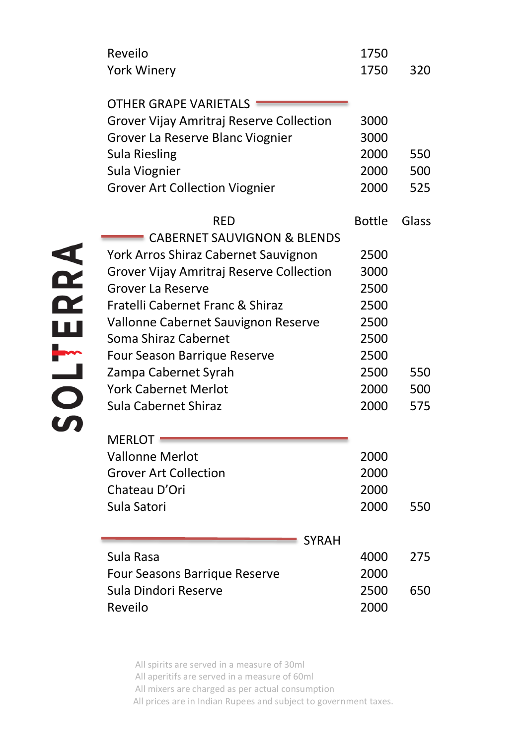| Reveilo                                  | 1750          |       |
|------------------------------------------|---------------|-------|
| <b>York Winery</b>                       | 1750          | 320   |
|                                          |               |       |
| OTHER GRAPE VARIETALS                    |               |       |
| Grover Vijay Amritraj Reserve Collection | 3000          |       |
| Grover La Reserve Blanc Viognier         | 3000          |       |
| <b>Sula Riesling</b>                     | 2000          | 550   |
| Sula Viognier                            | 2000          | 500   |
| <b>Grover Art Collection Viognier</b>    | 2000          | 525   |
| RFD                                      | <b>Bottle</b> | Glass |
| <b>CABERNET SAUVIGNON &amp; BLENDS</b>   |               |       |
| York Arros Shiraz Cabernet Sauvignon     | 2500          |       |
| Grover Vijay Amritraj Reserve Collection | 3000          |       |
| <b>Grover La Reserve</b>                 | 2500          |       |
| Fratelli Cabernet Franc & Shiraz         | 2500          |       |
| Vallonne Cabernet Sauvignon Reserve      | 2500          |       |
| Soma Shiraz Cabernet                     | 2500          |       |
| Four Season Barrique Reserve             | 2500          |       |
| Zampa Cabernet Syrah                     | 2500          | 550   |
| <b>York Cabernet Merlot</b>              | 2000          | 500   |
| Sula Cabernet Shiraz                     | 2000          | 575   |
| <b>MERLOT</b>                            |               |       |
| <b>Vallonne Merlot</b>                   | 2000          |       |
| <b>Grover Art Collection</b>             | 2000          |       |
| Chateau D'Ori                            | 2000          |       |
| Sula Satori                              | 2000          | 550   |
|                                          |               |       |
| <b>SYRAH</b>                             |               |       |
| Sula Rasa                                | 4000          | 275   |
| Four Seasons Barrique Reserve            | 2000          |       |
| Sula Dindori Reserve                     | 2500          | 650   |
| Reveilo                                  | 2000          |       |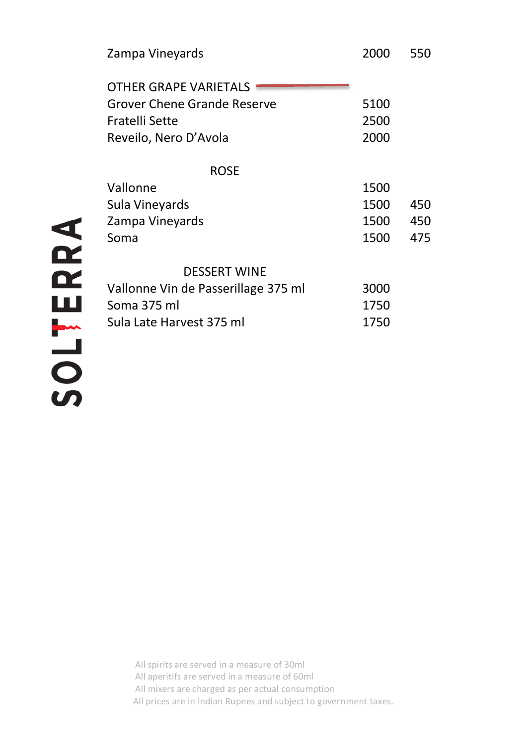| Zampa Vineyards                     | 2000 | 550 |
|-------------------------------------|------|-----|
| OTHER GRAPE VARIFTALS               |      |     |
| Grover Chene Grande Reserve         | 5100 |     |
| Fratelli Sette                      | 2500 |     |
| Reveilo, Nero D'Avola               | 2000 |     |
| <b>ROSE</b>                         |      |     |
| Vallonne                            | 1500 |     |
| Sula Vineyards                      | 1500 | 450 |
| Zampa Vineyards                     | 1500 | 450 |
| Soma                                | 1500 | 475 |
| <b>DESSERT WINE</b>                 |      |     |
| Vallonne Vin de Passerillage 375 ml | 3000 |     |
| Soma 375 ml                         | 1750 |     |
| Sula Late Harvest 375 ml            | 1750 |     |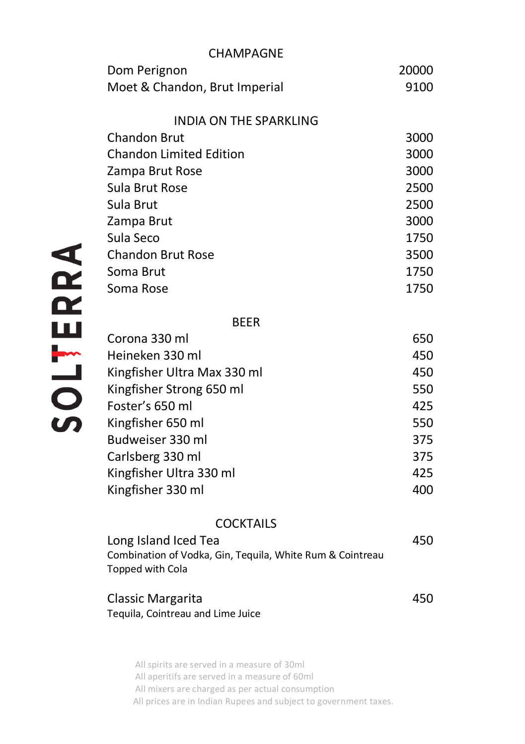| CHAMPAGNE                                                                     |       |
|-------------------------------------------------------------------------------|-------|
| Dom Perignon                                                                  | 20000 |
| Moet & Chandon, Brut Imperial                                                 | 9100  |
| INDIA ON THE SPARKLING                                                        |       |
| <b>Chandon Brut</b>                                                           | 3000  |
| <b>Chandon Limited Edition</b>                                                | 3000  |
| Zampa Brut Rose                                                               | 3000  |
| Sula Brut Rose                                                                | 2500  |
| Sula Brut                                                                     | 2500  |
| Zampa Brut                                                                    | 3000  |
| Sula Seco                                                                     | 1750  |
| <b>Chandon Brut Rose</b>                                                      | 3500  |
| Soma Brut                                                                     | 1750  |
| Soma Rose                                                                     | 1750  |
| <b>BEER</b>                                                                   |       |
| Corona 330 ml                                                                 | 650   |
| Heineken 330 ml                                                               | 450   |
| Kingfisher Ultra Max 330 ml                                                   | 450   |
| Kingfisher Strong 650 ml                                                      | 550   |
| Foster's 650 ml                                                               | 425   |
| Kingfisher 650 ml                                                             | 550   |
| Budweiser 330 ml                                                              | 375   |
| Carlsberg 330 ml                                                              | 375   |
| Kingfisher Ultra 330 ml                                                       | 425   |
| Kingfisher 330 ml                                                             | 400   |
| <b>COCKTAILS</b>                                                              |       |
| Long Island Iced Tea                                                          | 450   |
| Combination of Vodka, Gin, Tequila, White Rum & Cointreau<br>Topped with Cola |       |
| Classic Margarita                                                             | 450   |
| Tequila, Cointreau and Lime Juice                                             |       |
|                                                                               |       |
| All spirits are served in a measure of 30ml                                   |       |

All mixers are charged as per actual consumption All prices are in Indian Rupees and subject to government taxes.

All aperitifs are served in a measure of 60ml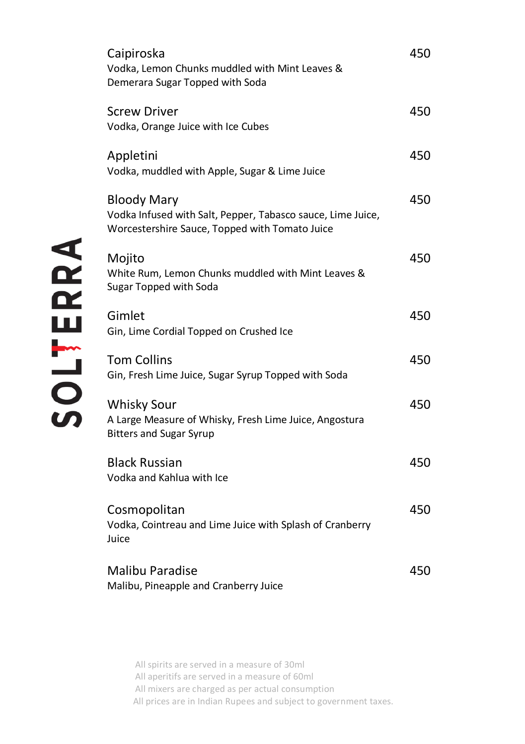| Caipiroska<br>Vodka, Lemon Chunks muddled with Mint Leaves &<br>Demerara Sugar Topped with Soda                              | 450 |
|------------------------------------------------------------------------------------------------------------------------------|-----|
| <b>Screw Driver</b><br>Vodka, Orange Juice with Ice Cubes                                                                    | 450 |
| Appletini<br>Vodka, muddled with Apple, Sugar & Lime Juice                                                                   | 450 |
| Bloody Mary<br>Vodka Infused with Salt, Pepper, Tabasco sauce, Lime Juice,<br>Worcestershire Sauce, Topped with Tomato Juice | 450 |
| Mojito<br>White Rum, Lemon Chunks muddled with Mint Leaves &<br>Sugar Topped with Soda                                       | 450 |
| Gimlet<br>Gin, Lime Cordial Topped on Crushed Ice                                                                            | 450 |
| <b>Tom Collins</b><br>Gin, Fresh Lime Juice, Sugar Syrup Topped with Soda                                                    | 450 |
| <b>Whisky Sour</b><br>A Large Measure of Whisky, Fresh Lime Juice, Angostura<br><b>Bitters and Sugar Syrup</b>               | 450 |
| <b>Black Russian</b><br>Vodka and Kahlua with Ice                                                                            | 450 |
| Cosmopolitan<br>Vodka, Cointreau and Lime Juice with Splash of Cranberry<br>Juice                                            | 450 |
| <b>Malibu Paradise</b><br>Malibu, Pineapple and Cranberry Juice                                                              | 450 |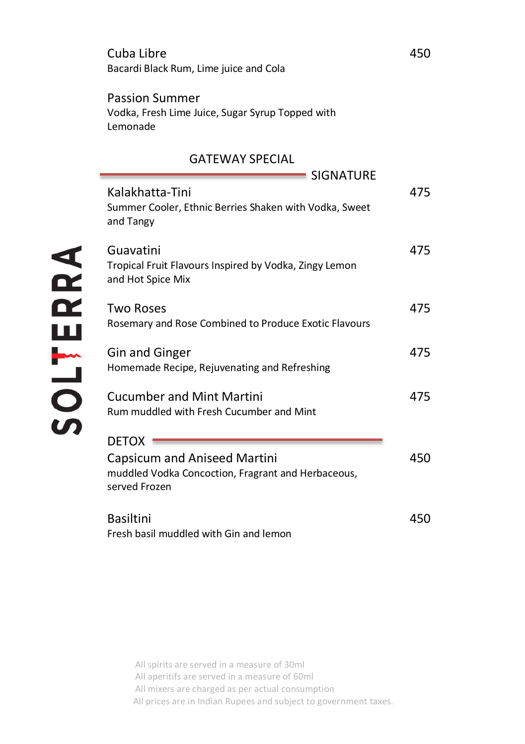|          | Bacardi Black Rum, Lime juice and Cola                                                                                     |     |
|----------|----------------------------------------------------------------------------------------------------------------------------|-----|
|          | <b>Passion Summer</b><br>Vodka, Fresh Lime Juice, Sugar Syrup Topped with<br>Lemonade                                      |     |
|          | <b>GATEWAY SPECIAL</b><br><b>SIGNATURE</b>                                                                                 |     |
|          | Kalakhatta-Tini<br>Summer Cooler, Ethnic Berries Shaken with Vodka, Sweet<br>and Tangy                                     | 475 |
|          | Guavatini<br>Tropical Fruit Flavours Inspired by Vodka, Zingy Lemon<br>and Hot Spice Mix                                   | 475 |
|          | <b>Two Roses</b><br>Rosemary and Rose Combined to Produce Exotic Flavours                                                  | 475 |
|          | <b>Gin and Ginger</b><br>Homemade Recipe, Rejuvenating and Refreshing                                                      | 475 |
| SOLTERRA | <b>Cucumber and Mint Martini</b><br>Rum muddled with Fresh Cucumber and Mint                                               | 475 |
|          | <b>DETOX</b><br><b>Capsicum and Aniseed Martini</b><br>muddled Vodka Concoction, Fragrant and Herbaceous,<br>served Frozen | 450 |
|          | <b>Basiltini</b><br>Fresh basil muddled with Gin and lemon                                                                 | 450 |

Cuba Libre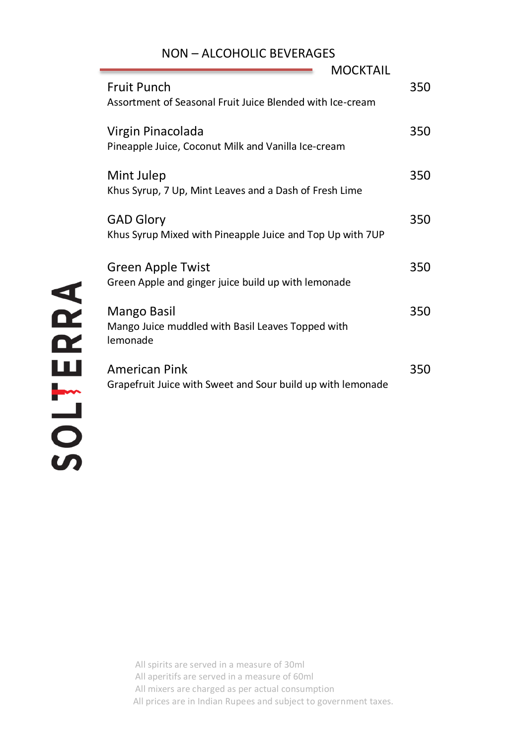# NON – ALCOHOLIC BEVERAGES

| MOCKTAIL                                                                        |     |
|---------------------------------------------------------------------------------|-----|
| <b>Fruit Punch</b><br>Assortment of Seasonal Fruit Juice Blended with Ice-cream | 350 |
| Virgin Pinacolada<br>Pineapple Juice, Coconut Milk and Vanilla Ice-cream        | 350 |
| Mint Julep<br>Khus Syrup, 7 Up, Mint Leaves and a Dash of Fresh Lime            | 350 |
| <b>GAD Glory</b><br>Khus Syrup Mixed with Pineapple Juice and Top Up with 7UP   | 350 |
| Green Apple Twist<br>Green Apple and ginger juice build up with lemonade        | 350 |
| Mango Basil<br>Mango Juice muddled with Basil Leaves Topped with<br>lemonade    | 350 |
| American Pink<br>Grapefruit Juice with Sweet and Sour build up with lemonade    | 350 |